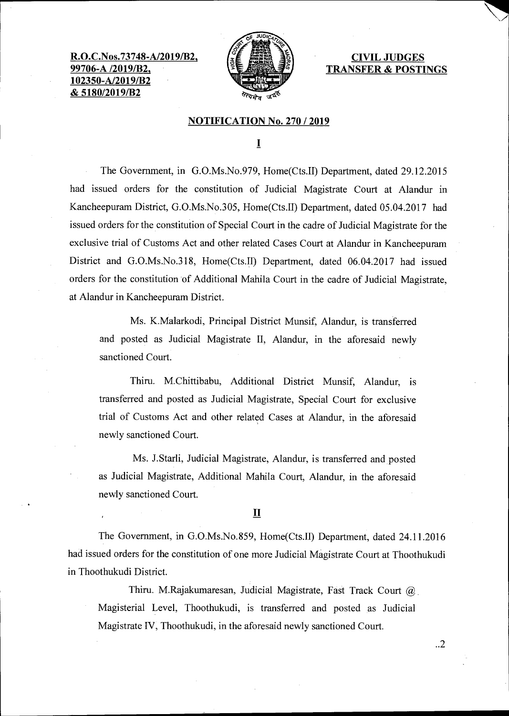**R.O.C.Nos.73748-A 99706-A /2019/B2, 102350-A/2019/B2 & 5180/2019/B2** 



**CIVIL JUDGES TRANSFER & POSTINGS** 

## **NOTIFICATION No. 270 / 2019**

 $\mathbf I$ 

The Government, in G.O.Ms.No.979, Home(Cts.II) Department, dated 29.12.2015 had issued orders for the constitution of Judicial Magistrate Court at Alandur in Kancheepuram District, G.O.Ms.No.305, Home(Cts.II) Department, dated 05.04.2017 had issued orders for the constitution of Special Court in the cadre of Judicial Magistrate for the exclusive trial of Customs Act and other related Cases Court at Alandur in Kancheepuram District and G.O.Ms.No.318, Home(Cts.II) Department, dated 06.04.2017 had issued orders for the constitution of Additional Mahila Court in the cadre of Judicial Magistrate, at Alandur in Kancheepuram District.

Ms. K.Malarkodi, Principal District Munsif, Alandur, is transferred and posted as Judicial Magistrate II, Alandur, in the aforesaid newly sanctioned Court.

Thiru. M.Chittibabu, Additional District Munsif, Alandur, is transferred and posted as Judicial Magistrate, Special Court for exclusive trial of Customs Act and other related Cases at Alandur, in the aforesaid newly sanctioned Court.

Ms. J.Starli, Judicial Magistrate, Alandur, is transferred and posted as Judicial Magistrate, Additional Mahila Court, Alandur, in the aforesaid newly sanctioned Court.

## **II**

The Government, in G.O.Ms.No.859, Home(Cts.II) Department, dated 24.11.2016 had issued orders for the constitution of one more Judicial Magistrate Court at Thoothukudi in Thoothukudi District.

Thiru. M.Rajakumaresan, Judicial Magistrate, Fast Track Court @ Magisterial Level, Thoothukudi, is transferred and posted as Judicial Magistrate IV, Thoothukudi, in the aforesaid newly sanctioned Court.

..2